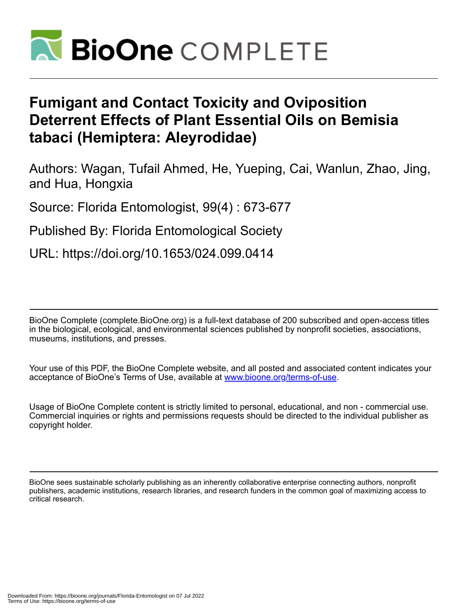

# **Fumigant and Contact Toxicity and Oviposition Deterrent Effects of Plant Essential Oils on Bemisia tabaci (Hemiptera: Aleyrodidae)**

Authors: Wagan, Tufail Ahmed, He, Yueping, Cai, Wanlun, Zhao, Jing, and Hua, Hongxia

Source: Florida Entomologist, 99(4) : 673-677

Published By: Florida Entomological Society

URL: https://doi.org/10.1653/024.099.0414

BioOne Complete (complete.BioOne.org) is a full-text database of 200 subscribed and open-access titles in the biological, ecological, and environmental sciences published by nonprofit societies, associations, museums, institutions, and presses.

Your use of this PDF, the BioOne Complete website, and all posted and associated content indicates your acceptance of BioOne's Terms of Use, available at www.bioone.org/terms-of-use.

Usage of BioOne Complete content is strictly limited to personal, educational, and non - commercial use. Commercial inquiries or rights and permissions requests should be directed to the individual publisher as copyright holder.

BioOne sees sustainable scholarly publishing as an inherently collaborative enterprise connecting authors, nonprofit publishers, academic institutions, research libraries, and research funders in the common goal of maximizing access to critical research.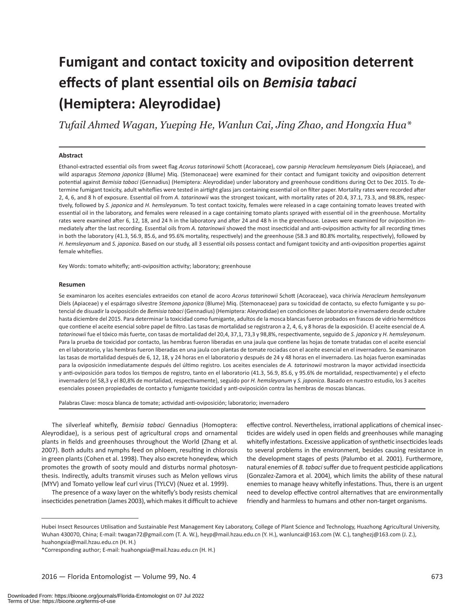# **Fumigant and contact toxicity and oviposition deterrent effects of plant essential oils on** *Bemisia tabaci* **(Hemiptera: Aleyrodidae)**

*Tufail Ahmed Wagan, Yueping He, Wanlun Cai, Jing Zhao, and Hongxia Hua\**

#### **Abstract**

Ethanol-extracted essential oils from sweet flag *Acorus tatarinowii* Schott (Acoraceae), cow parsnip *Heracleum hemsleyanum* Diels (Apiaceae), and wild asparagus *Stemona japonica* (Blume) Miq. (Stemonaceae) were examined for their contact and fumigant toxicity and oviposition deterrent potential against *Bemisia tabaci* (Gennadius) (Hemiptera: Aleyrodidae) under laboratory and greenhouse conditions during Oct to Dec 2015. To determine fumigant toxicity, adult whiteflies were tested in airtight glass jars containing essential oil on filter paper. Mortality rates were recorded after 2, 4, 6, and 8 h of exposure. Essential oil from *A. tatarinowii* was the strongest toxicant, with mortality rates of 20.4, 37.1, 73.3, and 98.8%, respectively, followed by *S. japonica* and *H. hemsleyanum.* To test contact toxicity, females were released in a cage containing tomato leaves treated with essential oil in the laboratory, and females were released in a cage containing tomato plants sprayed with essential oil in the greenhouse. Mortality rates were examined after 6, 12, 18, and 24 h in the laboratory and after 24 and 48 h in the greenhouse. Leaves were examined for oviposition immediately after the last recording. Essential oils from *A. tatarinowii* showed the most insecticidal and anti-oviposition activity for all recording times in both the laboratory (41.3, 56.9, 85.6, and 95.6% mortality, respectively) and the greenhouse (58.3 and 80.8% mortality, respectively), followed by *H. hemsleyanum* and *S. japonica*. Based on our study, all 3 essential oils possess contact and fumigant toxicity and anti-oviposition properties against female whiteflies.

Key Words: tomato whitefly; anti-oviposition activity; laboratory; greenhouse

#### **Resumen**

Se examinaron los aceites esenciales extraeidos con etanol de acoro *Acorus tatarinowii* Schott (Acoraceae), vaca chirivía *Heracleum hemsleyanum* Diels (Apiaceae) y el espárrago silvestre *Stemona japonica* (Blume) Miq. (Stemonaceae) para su toxicidad de contacto, su efecto fumigante y su potencial de disuadir la oviposición de *Bemisia tabaci* (Gennadius) (Hemiptera: Aleyrodidae) en condiciones de laboratorio e invernadero desde octubre hasta diciembre del 2015. Para determinar la toxicidad como fumigante, adultos de la mosca blancas fueron probados en frascos de vidrio herméticos que contiene el aceite esencial sobre papel de filtro. Las tasas de mortalidad se registraron a 2, 4, 6, y 8 horas de la exposición. El aceite esencial de *A. tatarinowii* fue el tóxico más fuerte, con tasas de mortalidad del 20,4, 37,1, 73,3 y 98,8%, respectivamente, seguido de *S. japonica* y *H. hemsleyanum*. Para la prueba de toxicidad por contacto, las hembras fueron liberadas en una jaula que contiene las hojas de tomate tratadas con el aceite esencial en el laboratorio, y las hembras fueron liberadas en una jaula con plantas de tomate rociadas con el aceite esencial en el invernadero. Se examinaron las tasas de mortalidad después de 6, 12, 18, y 24 horas en el laboratorio y después de 24 y 48 horas en el invernadero. Las hojas fueron examinadas para la oviposición inmediatamente después del último registro. Los aceites esenciales de *A. tatarinowii* mostraron la mayor actividad insecticida y anti-oviposición para todos los tiempos de registro, tanto en el laboratorio (41.3, 56.9, 85.6, y 95.6% de mortalidad, respectivamente) y el efecto invernadero (el 58,3 y el 80,8% de mortalidad, respectivamente), seguido por *H. hemsleyanum* y *S. japonica*. Basado en nuestro estudio, los 3 aceites esenciales poseen propiedades de contacto y fumigante toxicidad y anti-oviposición contra las hembras de moscas blancas.

Palabras Clave: mosca blanca de tomate; actividad anti-oviposición; laboratorio; invernadero

The silverleaf whitefly, *Bemisia tabaci* Gennadius (Homoptera: Aleyrodidae), is a serious pest of agricultural crops and ornamental plants in fields and greenhouses throughout the World (Zhang et al. 2007). Both adults and nymphs feed on phloem, resulting in chlorosis in green plants (Cohen et al. 1998). They also excrete honeydew, which promotes the growth of sooty mould and disturbs normal photosynthesis. Indirectly, adults transmit viruses such as Melon yellows virus (MYV) and Tomato yellow leaf curl virus (TYLCV) (Nuez et al. 1999).

The presence of a waxy layer on the whitefly's body resists chemical insecticides penetration (James 2003), which makes it difficult to achieve

effective control. Nevertheless, irrational applications of chemical insecticides are widely used in open fields and greenhouses while managing whitefly infestations. Excessive application of synthetic insecticides leads to several problems in the environment, besides causing resistance in the development stages of pests (Palumbo et al. 2001). Furthermore, natural enemies of *B. tabaci* suffer due to frequent pesticide applications (Gonzalez-Zamora et al. 2004), which limits the ability of these natural enemies to manage heavy whitefly infestations. Thus, there is an urgent need to develop effective control alternatives that are environmentally friendly and harmless to humans and other non-target organisms.

Hubei Insect Resources Utilisation and Sustainable Pest Management Key Laboratory, College of Plant Science and Technology, Huazhong Agricultural University, Wuhan 430070, China; E-mail: twagan72@gmail.com (T. A. W.), heyp@mail.hzau.edu.cn (Y. H.), wanluncai@163.com (W. C.), tanghezj@163.com (J. Z.), huahongxia@mail.hzau.edu.cn (H. H.)

<sup>\*</sup>Corresponding author; E-mail: huahongxia@mail.hzau.edu.cn (H. H.)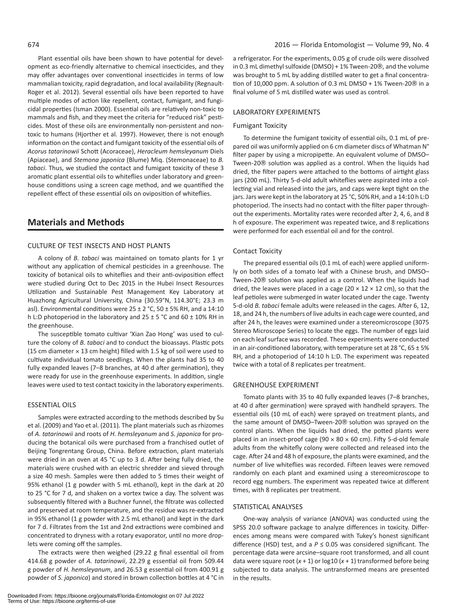Plant essential oils have been shown to have potential for development as eco-friendly alternative to chemical insecticides, and they may offer advantages over conventional insecticides in terms of low mammalian toxicity, rapid degradation, and local availability (Regnault-Roger et al. 2012). Several essential oils have been reported to have multiple modes of action like repellent, contact, fumigant, and fungicidal properties (Isman 2000). Essential oils are relatively non-toxic to mammals and fish, and they meet the criteria for "reduced risk" pesticides. Most of these oils are environmentally non-persistent and nontoxic to humans (Hjorther et al. 1997). However, there is not enough information on the contact and fumigant toxicity of the essential oils of *Acorus tatarinowii* Schott (Acoraceae), *Heracleum hemsleyanum* Diels (Apiaceae), and *Stemona japonica* (Blume) Miq. (Stemonaceae) to *B. tabaci*. Thus, we studied the contact and fumigant toxicity of these 3 aromatic plant essential oils to whiteflies under laboratory and greenhouse conditions using a screen cage method, and we quantified the repellent effect of these essential oils on oviposition of whiteflies.

# **Materials and Methods**

### CULTURE OF TEST INSECTS AND HOST PLANTS

A colony of *B. tabaci* was maintained on tomato plants for 1 yr without any application of chemical pesticides in a greenhouse. The toxicity of botanical oils to whiteflies and their anti-oviposition effect were studied during Oct to Dec 2015 in the Hubei Insect Resources Utilization and Sustainable Pest Management Key Laboratory at Huazhong Agricultural University, China (30.59°N, 114.30°E; 23.3 m asl). Environmental conditions were  $25 \pm 2$  °C,  $50 \pm 5$ % RH, and a 14:10 h L:D photoperiod in the laboratory and 25 ± 5 °C and 60 ± 10% RH in the greenhouse.

The susceptible tomato cultivar 'Xian Zao Hong' was used to culture the colony of *B. tabaci* and to conduct the bioassays. Plastic pots (15 cm diameter  $\times$  13 cm height) filled with 1.5 kg of soil were used to cultivate individual tomato seedlings. When the plants had 35 to 40 fully expanded leaves (7–8 branches, at 40 d after germination), they were ready for use in the greenhouse experiments. In addition, single leaves were used to test contact toxicity in the laboratory experiments.

#### ESSENTIAL OILS

Samples were extracted according to the methods described by Su et al. (2009) and Yao et al. (2011). The plant materials such as rhizomes of *A. tatarinowii* and roots of *H. hemsleyanum* and *S. japonica* for producing the botanical oils were purchased from a franchised outlet of Beijing Tongrentang Group, China. Before extraction, plant materials were dried in an oven at 45 °C up to 3 d. After being fully dried, the materials were crushed with an electric shredder and sieved through a size 40 mesh. Samples were then added to 5 times their weight of 95% ethanol (1 g powder with 5 mL ethanol), kept in the dark at 20 to 25 °C for 7 d, and shaken on a vortex twice a day. The solvent was subsequently filtered with a Buchner funnel, the filtrate was collected and preserved at room temperature, and the residue was re-extracted in 95% ethanol (1 g powder with 2.5 mL ethanol) and kept in the dark for 7 d. Filtrates from the 1st and 2nd extractions were combined and concentrated to dryness with a rotary evaporator, until no more droplets were coming off the samples.

The extracts were then weighed (29.22 g final essential oil from 414.68 g powder of *A. tatarinowii*, 22.29 g essential oil from 509.44 g powder of *H. hemsleyanum*, and 26.53 g essential oil from 400.91 g powder of *S. japonica*) and stored in brown collection bottles at 4 °C in

a refrigerator. For the experiments, 0.05 g of crude oils were dissolved in 0.3 mL dimethyl sulfoxide (DMSO) + 1% Tween-20®, and the volume was brought to 5 mL by adding distilled water to get a final concentration of 10,000 ppm. A solution of 0.3 mL DMSO + 1% Tween-20® in a final volume of 5 mL distilled water was used as control.

#### LABORATORY EXPERIMENTs

### Fumigant Toxicity

To determine the fumigant toxicity of essential oils, 0.1 mL of prepared oil was uniformly applied on 6 cm diameter discs of Whatman N° filter paper by using a micropipette. An equivalent volume of DMSO– Tween-20® solution was applied as a control. When the liquids had dried, the filter papers were attached to the bottoms of airtight glass jars (200 mL). Thirty 5-d-old adult whiteflies were aspirated into a collecting vial and released into the jars, and caps were kept tight on the jars. Jars were kept in the laboratory at 25 °C, 50% RH, and a 14:10 h L:D photoperiod. The insects had no contact with the filter paper throughout the experiments. Mortality rates were recorded after 2, 4, 6, and 8 h of exposure. The experiment was repeated twice, and 8 replications were performed for each essential oil and for the control.

#### Contact Toxicity

The prepared essential oils (0.1 mL of each) were applied uniformly on both sides of a tomato leaf with a Chinese brush, and DMSO– Tween-20® solution was applied as a control. When the liquids had dried, the leaves were placed in a cage (20  $\times$  12  $\times$  12 cm), so that the leaf petioles were submerged in water located under the cage. Twenty 5-d-old *B. tabaci* female adults were released in the cages. After 6, 12, 18, and 24 h, the numbers of live adults in each cage were counted, and after 24 h, the leaves were examined under a stereomicroscope (3075 Stereo Microscope Series) to locate the eggs. The number of eggs laid on each leaf surface was recorded. These experiments were conducted in an air-conditioned laboratory, with temperature set at 28 °C, 65 ± 5% RH, and a photoperiod of 14:10 h L:D. The experiment was repeated twice with a total of 8 replicates per treatment.

#### GREENHOUSE EXPERIMENT

Tomato plants with 35 to 40 fully expanded leaves (7–8 branches, at 40 d after germination) were sprayed with handheld sprayers. The essential oils (10 mL of each) were sprayed on treatment plants, and the same amount of DMSO–Tween-20® solution was sprayed on the control plants. When the liquids had dried, the potted plants were placed in an insect-proof cage (90  $\times$  80  $\times$  60 cm). Fifty 5-d-old female adults from the whitefly colony were collected and released into the cage. After 24 and 48 h of exposure, the plants were examined, and the number of live whiteflies was recorded. Fifteen leaves were removed randomly on each plant and examined using a stereomicroscope to record egg numbers. The experiment was repeated twice at different times, with 8 replicates per treatment.

#### STATISTICAL ANALYSES

One-way analysis of variance (ANOVA) was conducted using the SPSS 20.0 software package to analyze differences in toxicity. Differences among means were compared with Tukey's honest significant difference (HSD) test, and a  $P \le 0.05$  was considered significant. The percentage data were arcsine–square root transformed, and all count data were square root (*x* + 1) or log10 (*x* + 1) transformed before being subjected to data analysis. The untransformed means are presented in the results.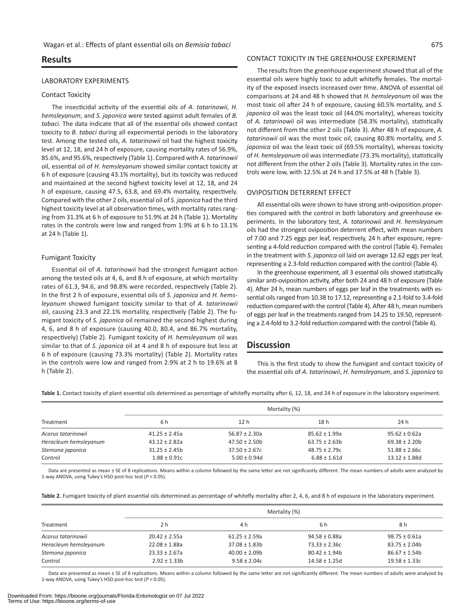# **Results**

#### LABORATORY EXPERIMENTs

#### Contact Toxicity

The insecticidal activity of the essential oils of *A. tatarinowii*, *H. hemsleyanum*, and *S. japonica* were tested against adult females of *B. tabaci*. The data indicate that all of the essential oils showed contact toxicity to *B. tabaci* during all experimental periods in the laboratory test. Among the tested oils, *A. tatarinowii* oil had the highest toxicity level at 12, 18, and 24 h of exposure, causing mortality rates of 56.9%, 85.6%, and 95.6%, respectively (Table 1). Compared with *A. tatarinowii* oil, essential oil of *H. hemsleyanum* showed similar contact toxicity at 6 h of exposure (causing 43.1% mortality), but its toxicity was reduced and maintained at the second highest toxicity level at 12, 18, and 24 h of exposure, causing 47.5, 63.8, and 69.4% mortality, respectively. Compared with the other 2 oils, essential oil of *S. japonica* had the third highest toxicity level at all observation times, with mortality rates ranging from 31.3% at 6 h of exposure to 51.9% at 24 h (Table 1). Mortality rates in the controls were low and ranged from 1.9% at 6 h to 13.1% at 24 h (Table 1).

#### Fumigant Toxicity

Essential oil of *A. tatarinowii* had the strongest fumigant action among the tested oils at 4, 6, and 8 h of exposure, at which mortality rates of 61.3, 94.6, and 98.8% were recorded, respectively (Table 2). In the first 2 h of exposure, essential oils of *S. japonica* and *H. hemsleyanum* showed fumigant toxicity similar to that of *A. tatarinowii* oil, causing 23.3 and 22.1% mortality, respectively (Table 2). The fumigant toxicity of *S. japonica* oil remained the second highest during 4, 6, and 8 h of exposure (causing 40.0, 80.4, and 86.7% mortality, respectively) (Table 2). Fumigant toxicity of *H. hemsleyanum* oil was similar to that of *S. japonica* oil at 4 and 8 h of exposure but less at 6 h of exposure (causing 73.3% mortality) (Table 2). Mortality rates in the controls were low and ranged from 2.9% at 2 h to 19.6% at 8 h (Table 2).

#### CONTACT TOXICITY IN THE GREENHOUSE EXPERIMENT

The results from the greenhouse experiment showed that all of the essential oils were highly toxic to adult whitefly females. The mortality of the exposed insects increased over time. ANOVA of essential oil comparisons at 24 and 48 h showed that *H. hemsleyanum* oil was the most toxic oil after 24 h of exposure, causing 60.5% mortality, and *S. japonica* oil was the least toxic oil (44.0% mortality), whereas toxicity of *A. tatarinowii* oil was intermediate (58.3% mortality), statistically not different from the other 2 oils (Table 3). After 48 h of exposure, *A. tatarinowii* oil was the most toxic oil, causing 80.8% mortality, and *S. japonica* oil was the least toxic oil (69.5% mortality), whereas toxicity of *H. hemsleyanum* oil was intermediate (73.3% mortality), statistically not different from the other 2 oils (Table 3). Mortality rates in the controls were low, with 12.5% at 24 h and 17.5% at 48 h (Table 3).

#### OVIPOSITION DETERRENT EFFECT

All essential oils were shown to have strong anti-oviposition properties compared with the control in both laboratory and greenhouse experiments. In the laboratory test, *A. tatarinowii* and *H. hemsleyanum* oils had the strongest oviposition deterrent effect, with mean numbers of 7.00 and 7.25 eggs per leaf, respectively, 24 h after exposure, representing a 4-fold reduction compared with the control (Table 4). Females in the treatment with *S. japonica* oil laid on average 12.62 eggs per leaf, representing a 2.3-fold reduction compared with the control (Table 4).

In the greenhouse experiment, all 3 essential oils showed statistically similar anti-oviposition activity, after both 24 and 48 h of exposure (Table 4). After 24 h, mean numbers of eggs per leaf in the treatments with essential oils ranged from 10.38 to 17.12, representing a 2.1-fold to 3.4-fold reduction compared with the control (Table 4). After 48 h, mean numbers of eggs per leaf in the treatments ranged from 14.25 to 19.50, representing a 2.4-fold to 3.2-fold reduction compared with the control (Table 4).

# **Discussion**

This is the first study to show the fumigant and contact toxicity of the essential oils of *A. tatarinowii*, *H. hemsleyanum*, and *S. japonica* to

**Table 1.** Contact toxicity of plant essential oils determined as percentage of whitefly mortality after 6, 12, 18, and 24 h of exposure in the laboratory experiment.

| Treatment                   | Mortality (%)                        |                                        |                                        |                                         |
|-----------------------------|--------------------------------------|----------------------------------------|----------------------------------------|-----------------------------------------|
|                             | 6 h                                  | 12 <sub>h</sub>                        | 18h                                    | 24 h                                    |
| Acorus tatarinowii          | $41.25 \pm 2.45a$                    | $56.87 \pm 2.30a$                      | $85.62 \pm 1.99a$                      | $95.62 \pm 0.62a$                       |
| Heracleum hemsleyanum       | $43.12 \pm 2.82a$                    | $47.50 \pm 2.50$                       | $63.75 \pm 2.63b$                      | $69.38 \pm 2.20b$                       |
| Stemona japonica<br>Control | $31.25 \pm 2.45$<br>$1.88 \pm 0.91c$ | $37.50 \pm 2.67c$<br>$5.00 \pm 0.94$ d | $48.75 \pm 2.79c$<br>$6.88 \pm 1.61$ d | $51.88 \pm 2.66c$<br>$13.12 \pm 1.88$ d |

Data are presented as mean ± SE of 8 replications. Means within a column followed by the same letter are not significantly different. The mean numbers of adults were analyzed by 1-way ANOVA, using Tukey's HSD post-hoc test (*P* < 0.05).

Table 2. Fumigant toxicity of plant essential oils determined as percentage of whitefly mortality after 2, 4, 6, and 8 h of exposure in the laboratory experiment.

|                       | Mortality (%)      |                   |                    |                   |  |
|-----------------------|--------------------|-------------------|--------------------|-------------------|--|
| Treatment             | 2 h                | 4 h               | 6 h                | 8 h               |  |
| Acorus tatarinowii    | $20.42 \pm 2.55a$  | $61.25 \pm 2.59a$ | $94.58 \pm 0.88$ a | $98.75 \pm 0.61a$ |  |
| Heracleum hemsleyanum | $22.08 \pm 1.88$ a | $37.08 \pm 1.83b$ | $73.33 \pm 2.36c$  | $83.75 \pm 2.04b$ |  |
| Stemona japonica      | $23.33 \pm 2.67a$  | $40.00 \pm 2.09$  | $80.42 \pm 1.94$   | $86.67 \pm 1.54b$ |  |
| Control               | $2.92 \pm 1.33b$   | $9.58 \pm 2.04c$  | $14.58 \pm 1.25$ d | $19.58 \pm 1.33c$ |  |

Data are presented as mean ± SE of 8 replications. Means within a column followed by the same letter are not significantly different. The mean numbers of adults were analyzed by 1-way ANOVA, using Tukey's HSD post-hoc test (*P* < 0.05).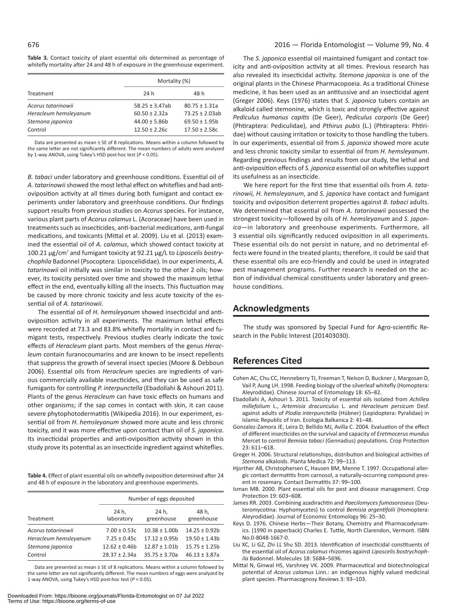**Table 3.** Contact toxicity of plant essential oils determined as percentage of whitefly mortality after 24 and 48 h of exposure in the greenhouse experiment.

|                       | Mortality (%)       |                    |  |
|-----------------------|---------------------|--------------------|--|
| Treatment             | 24 h                | 48 h               |  |
| Acorus tatarinowii    | $58.25 \pm 3.47$ ab | $80.75 \pm 1.31a$  |  |
| Heracleum hemsleyanum | $60.50 \pm 2.32a$   | $73.25 \pm 2.03ab$ |  |
| Stemona japonica      | $44.00 \pm 5.86$    | $69.50 \pm 1.95$   |  |
| Control               | $12.50 \pm 2.26c$   | $17.50 \pm 2.58c$  |  |

Data are presented as mean  $\pm$  SE of 8 replications. Means within a column followed by the same letter are not significantly different. The mean numbers of adults were analyzed by 1-way ANOVA, using Tukey's HSD post-hoc test (*P* < 0.05).

*B. tabaci* under laboratory and greenhouse conditions. Essential oil of *A. tatarinowii* showed the most lethal effect on whiteflies and had antioviposition activity at all times during both fumigant and contact experiments under laboratory and greenhouse conditions. Our findings support results from previous studies on *Acorus* species. For instance, various plant parts of *Acorus calamus* L. (Acoraceae) have been used in treatments such as insecticides, anti-bacterial medications, anti-fungal medications, and toxicants (Mittal et al. 2009). Liu et al. (2013) examined the essential oil of *A. calamus*, which showed contact toxicity at 100.21 μg/cm<sup>2</sup> and fumigant toxicity at 92.21 μg/L to Liposcelis bostry*chophila* Badonnel (Psocoptera: Liposcelididae)*.* In our experiments, *A. tatarinowii* oil initially was similar in toxicity to the other 2 oils; however, its toxicity persisted over time and showed the maximum lethal effect in the end, eventually killing all the insects. This fluctuation may be caused by more chronic toxicity and less acute toxicity of the essential oil of *A. tatarinowii*.

The essential oil of *H. hemsleyanum* showed insecticidal and antioviposition activity in all experiments. The maximum lethal effects were recorded at 73.3 and 83.8% whitefly mortality in contact and fumigant tests, respectively. Previous studies clearly indicate the toxic effects of *Heracleum* plant parts. Most members of the genus *Heracleum* contain furanocoumarins and are known to be insect repellents that suppress the growth of several insect species (Moore & Debboun 2006). Essential oils from *Heracleum* species are ingredients of various commercially available insecticides, and they can be used as safe fumigants for controlling *P. interpunctella* (Ebadollahi & Ashouri 2011). Plants of the genus *Heracleum* can have toxic effects on humans and other organisms; if the sap comes in contact with skin, it can cause severe phytophotodermatitis (Wikipedia 2016). In our experiment, essential oil from *H. hemsleyanum* showed more acute and less chronic toxicity, and it was more effective upon contact than oil of *S. japonica*. Its insecticidal properties and anti-oviposition activity shown in this study prove its potential as an insecticide ingredient against whiteflies.

**Table 4.** Effect of plant essential oils on whitefly oviposition determined after 24 and 48 h of exposure in the laboratory and greenhouse experiments.

|                             | Number of eggs deposited              |                                       |                                       |
|-----------------------------|---------------------------------------|---------------------------------------|---------------------------------------|
| Treatment                   | 24 h.<br>laboratory                   | 24 h.<br>greenhouse                   | 48 h.<br>greenhouse                   |
| Acorus tatarinowii          | $7.00 \pm 0.53c$                      | $10.38 \pm 1.00$                      | $14.25 \pm 0.92$                      |
| Heracleum hemsleyanum       | $7.25 \pm 0.45c$                      | $17.12 \pm 0.95$                      | $19.50 \pm 1.43$                      |
| Stemona japonica<br>Control | $12.62 \pm 0.46$<br>$28.37 \pm 2.34a$ | $12.87 \pm 1.01$<br>$35.75 \pm 3.70a$ | $15.75 \pm 1.25$<br>$46.13 \pm 3.87a$ |

Data are presented as mean  $\pm$  SE of 8 replications. Means within a column followed by the same letter are not significantly different. The mean numbers of eggs were analyzed by 1-way ANOVA, using Tukey's HSD post-hoc test (*P* < 0.05).

The *S. japonica* essential oil maintained fumigant and contact toxicity and anti-oviposition activity at all times. Previous research has also revealed its insecticidal activity. *Stemona japonica* is one of the original plants in the Chinese Pharmacopoeia. As a traditional Chinese medicine, it has been used as an antitussive and an insecticidal agent (Greger 2006). Keys (1976) states that *S. japonica* tubers contain an alkaloid called stemonine, which is toxic and strongly effective against *Pediculus humanus capitis* (De Geer), *Pediculus corporis* (De Geer) (Phtiraptera: Pediculidae), and *Pthirus pubis* (L.) (Phtiraptera: Phtiridae) without causing irritation or toxicity to those handling the tubers. In our experiments, essential oil from *S. japonica* showed more acute and less chronic toxicity similar to essential oil from *H. hemsleyanum*. Regarding previous findings and results from our study, the lethal and anti-oviposition effects of *S. japonica* essential oil on whiteflies support its usefulness as an insecticide.

We here report for the first time that essential oils from *A. tatarinowii, H. hemsleyanum*, and *S. japonica* have contact and fumigant toxicity and oviposition deterrent properties against *B. tabaci* adults. We determined that essential oil from *A. tatarinowii* possessed the strongest toxicity—followed by oils of *H. hemsleyanum* and *S. japonica*—in laboratory and greenhouse experiments. Furthermore, all 3 essential oils significantly reduced oviposition in all experiments. These essential oils do not persist in nature, and no detrimental effects were found in the treated plants; therefore, it could be said that these essential oils are eco-friendly and could be used in integrated pest management programs. Further research is needed on the action of individual chemical constituents under laboratory and greenhouse conditions.

# **Acknowledgments**

The study was sponsored by Special Fund for Agro-scientific Research in the Public Interest (201403030).

# **References Cited**

- Cohen AC, Chu CC, Henneberry TJ, Freeman T, Nelson D, Buckner J, Margosan D, Vail P, Aung LH. 1998. Feeding biology of the silverleaf whitefly (Homoptera: Aleyrodidae). Chinese Journal of Entomology 18: 65–82.
- Ebadollahi A, Ashouri S. 2011. Toxicity of essential oils isolated from *Achillea millefolium* L., *Artemisia dracunculus* L. and *Heracleum persicum* Desf. against adults of *Plodia interpunctella* (Hübner) (Lepidoptera: Pyralidae) in Islamic Republic of Iran. Ecologia Balkanica 2: 41–48.
- Gonzalez-Zamora JE, Leira D, Bellido MJ, Avilla C. 2004. Evaluation of the effect of different insecticides on the survival and capacity of *Eretmocerus mundus* Mercet to control *Bemisia tabaci* (Gennadius) populations. Crop Protection 23: 611–618.
- Greger H. 2006. Structural relationships, distribution and biological activities of *Stemona* alkaloids. Planta Medica 72: 99–113.
- Hjorther AB, Christophersen C, Hausen BM, Menne T. 1997. Occupational allergic contact dermatitis from carnosol, a naturally-occurring compound present in rosemary. Contact Dermatitis 37: 99–100.
- Isman MB. 2000. Plant essential oils for pest and disease management. Crop Protection 19: 603–608.
- James RR. 2003. Combining azadirachtin and *Paecilomyces fumosoroseus* (Deuteromycotina: Hyphomycetes) to control *Bemisia argentifolii* (Homoptera: Aleyrodidae). Journal of Economic Entomology 96: 25–30.
- Keys D. 1976. Chinese Herbs—Their Botany, Chemistry and Pharmacodynamics. (1990 in paperback) Charles E. Tuttle, North Clarendon, Vermont. ISBN No.0-8048-1667-0.
- Liu XC, Li GZ, Zhi LL Shu SD. 2013. Identification of insecticidal constituents of the essential oil of *Acorus calamus* rhizomes against *Liposcelis bostrychophila* Badonnel. Molecules 18: 5684–5696.
- Mittal N, Ginwal HS, Varshney VK. 2009. Pharmaceutical and biotechnological potential of *Acorus calamus* Linn.: an indigenous highly valued medicinal plant species. Pharmacognosy Reviews 3: 93–103.